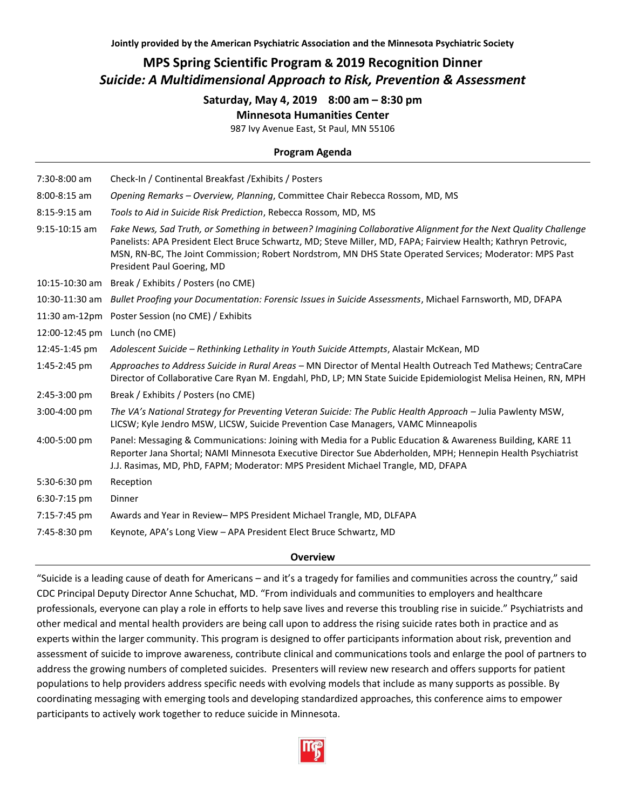# **MPS Spring Scientific Program & 2019 Recognition Dinner** *Suicide: A Multidimensional Approach to Risk, Prevention & Assessment*

#### **Saturday, May 4, 2019 8:00 am – 8:30 pm**

**Minnesota Humanities Center**

987 Ivy Avenue East, St Paul, MN 55106

#### **Program Agenda**

| 7:30-8:00 am    | Check-In / Continental Breakfast / Exhibits / Posters                                                                                                                                                                                                                                                                                                                     |
|-----------------|---------------------------------------------------------------------------------------------------------------------------------------------------------------------------------------------------------------------------------------------------------------------------------------------------------------------------------------------------------------------------|
| 8:00-8:15 am    | Opening Remarks - Overview, Planning, Committee Chair Rebecca Rossom, MD, MS                                                                                                                                                                                                                                                                                              |
| $8:15-9:15$ am  | Tools to Aid in Suicide Risk Prediction, Rebecca Rossom, MD, MS                                                                                                                                                                                                                                                                                                           |
| $9:15-10:15$ am | Fake News, Sad Truth, or Something in between? Imagining Collaborative Alignment for the Next Quality Challenge<br>Panelists: APA President Elect Bruce Schwartz, MD; Steve Miller, MD, FAPA; Fairview Health; Kathryn Petrovic,<br>MSN, RN-BC, The Joint Commission; Robert Nordstrom, MN DHS State Operated Services; Moderator: MPS Past<br>President Paul Goering, MD |
| 10:15-10:30 am  | Break / Exhibits / Posters (no CME)                                                                                                                                                                                                                                                                                                                                       |
| 10:30-11:30 am  | Bullet Proofing your Documentation: Forensic Issues in Suicide Assessments, Michael Farnsworth, MD, DFAPA                                                                                                                                                                                                                                                                 |
|                 | 11:30 am-12pm Poster Session (no CME) / Exhibits                                                                                                                                                                                                                                                                                                                          |
| 12:00-12:45 pm  | Lunch (no CME)                                                                                                                                                                                                                                                                                                                                                            |
| 12:45-1:45 pm   | Adolescent Suicide - Rethinking Lethality in Youth Suicide Attempts, Alastair McKean, MD                                                                                                                                                                                                                                                                                  |
| 1:45-2:45 pm    | Approaches to Address Suicide in Rural Areas - MN Director of Mental Health Outreach Ted Mathews; CentraCare<br>Director of Collaborative Care Ryan M. Engdahl, PhD, LP; MN State Suicide Epidemiologist Melisa Heinen, RN, MPH                                                                                                                                           |
| 2:45-3:00 pm    | Break / Exhibits / Posters (no CME)                                                                                                                                                                                                                                                                                                                                       |
| 3:00-4:00 pm    | The VA's National Strategy for Preventing Veteran Suicide: The Public Health Approach - Julia Pawlenty MSW,<br>LICSW; Kyle Jendro MSW, LICSW, Suicide Prevention Case Managers, VAMC Minneapolis                                                                                                                                                                          |
| 4:00-5:00 pm    | Panel: Messaging & Communications: Joining with Media for a Public Education & Awareness Building, KARE 11<br>Reporter Jana Shortal; NAMI Minnesota Executive Director Sue Abderholden, MPH; Hennepin Health Psychiatrist<br>J.J. Rasimas, MD, PhD, FAPM; Moderator: MPS President Michael Trangle, MD, DFAPA                                                             |
| 5:30-6:30 pm    | Reception                                                                                                                                                                                                                                                                                                                                                                 |
| 6:30-7:15 pm    | <b>Dinner</b>                                                                                                                                                                                                                                                                                                                                                             |
| 7:15-7:45 pm    | Awards and Year in Review- MPS President Michael Trangle, MD, DLFAPA                                                                                                                                                                                                                                                                                                      |
| 7:45-8:30 pm    | Keynote, APA's Long View - APA President Elect Bruce Schwartz, MD                                                                                                                                                                                                                                                                                                         |

#### **Overview**

"Suicide is a leading cause of death for Americans – and it's a tragedy for families and communities across the country," said CDC Principal Deputy Director Anne Schuchat, MD. "From individuals and communities to employers and healthcare professionals, everyone can play a role in efforts to help save lives and reverse this troubling rise in suicide." Psychiatrists and other medical and mental health providers are being call upon to address the rising suicide rates both in practice and as experts within the larger community. This program is designed to offer participants information about risk, prevention and assessment of suicide to improve awareness, contribute clinical and communications tools and enlarge the pool of partners to address the growing numbers of completed suicides. Presenters will review new research and offers supports for patient populations to help providers address specific needs with evolving models that include as many supports as possible. By coordinating messaging with emerging tools and developing standardized approaches, this conference aims to empower participants to actively work together to reduce suicide in Minnesota.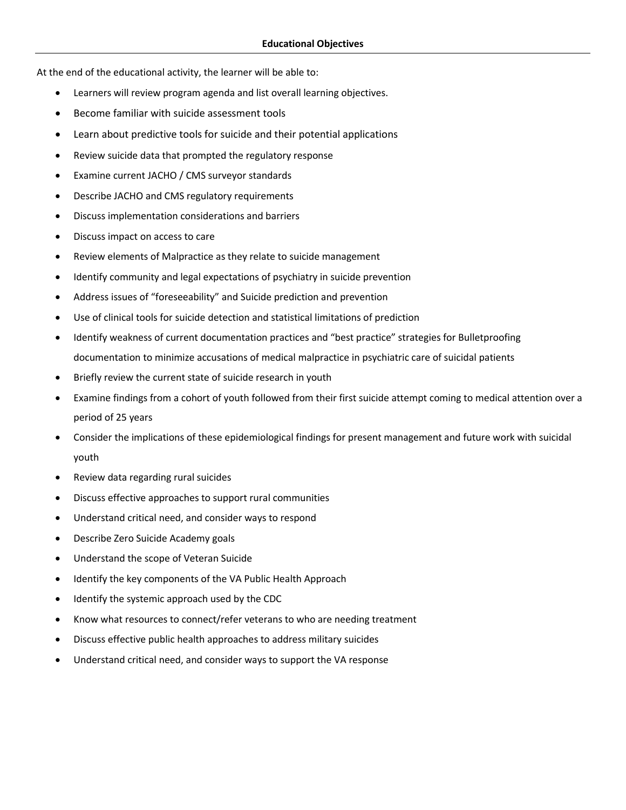At the end of the educational activity, the learner will be able to:

- Learners will review program agenda and list overall learning objectives.
- Become familiar with suicide assessment tools
- Learn about predictive tools for suicide and their potential applications
- Review suicide data that prompted the regulatory response
- Examine current JACHO / CMS surveyor standards
- Describe JACHO and CMS regulatory requirements
- Discuss implementation considerations and barriers
- Discuss impact on access to care
- Review elements of Malpractice as they relate to suicide management
- Identify community and legal expectations of psychiatry in suicide prevention
- Address issues of "foreseeability" and Suicide prediction and prevention
- Use of clinical tools for suicide detection and statistical limitations of prediction
- Identify weakness of current documentation practices and "best practice" strategies for Bulletproofing documentation to minimize accusations of medical malpractice in psychiatric care of suicidal patients
- Briefly review the current state of suicide research in youth
- Examine findings from a cohort of youth followed from their first suicide attempt coming to medical attention over a period of 25 years
- Consider the implications of these epidemiological findings for present management and future work with suicidal youth
- Review data regarding rural suicides
- Discuss effective approaches to support rural communities
- Understand critical need, and consider ways to respond
- Describe Zero Suicide Academy goals
- Understand the scope of Veteran Suicide
- Identify the key components of the VA Public Health Approach
- Identify the systemic approach used by the CDC
- Know what resources to connect/refer veterans to who are needing treatment
- Discuss effective public health approaches to address military suicides
- Understand critical need, and consider ways to support the VA response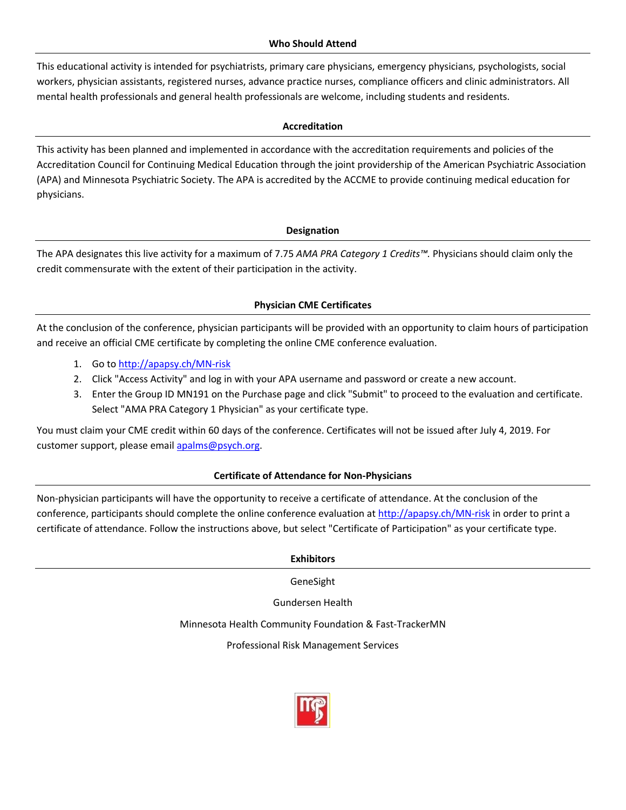#### **Who Should Attend**

This educational activity is intended for psychiatrists, primary care physicians, emergency physicians, psychologists, social workers, physician assistants, registered nurses, advance practice nurses, compliance officers and clinic administrators. All mental health professionals and general health professionals are welcome, including students and residents.

# **Accreditation**

This activity has been planned and implemented in accordance with the accreditation requirements and policies of the Accreditation Council for Continuing Medical Education through the joint providership of the American Psychiatric Association (APA) and Minnesota Psychiatric Society. The APA is accredited by the ACCME to provide continuing medical education for physicians.

#### **Designation**

The APA designates this live activity for a maximum of 7.75 *AMA PRA Category 1 Credits™.* Physicians should claim only the credit commensurate with the extent of their participation in the activity.

# **Physician CME Certificates**

At the conclusion of the conference, physician participants will be provided with an opportunity to claim hours of participation and receive an official CME certificate by completing the online CME conference evaluation.

- 1. Go to<http://apapsy.ch/MN-risk>
- 2. Click "Access Activity" and log in with your APA username and password or create a new account.
- 3. Enter the Group ID MN191 on the Purchase page and click "Submit" to proceed to the evaluation and certificate. Select "AMA PRA Category 1 Physician" as your certificate type.

You must claim your CME credit within 60 days of the conference. Certificates will not be issued after July 4, 2019. For customer support, please email [apalms@psych.org.](mailto:apalms@psych.org)

# **Certificate of Attendance for Non-Physicians**

Non-physician participants will have the opportunity to receive a certificate of attendance. At the conclusion of the conference, participants should complete the online conference evaluation at<http://apapsy.ch/MN-risk> in order to print a certificate of attendance. Follow the instructions above, but select "Certificate of Participation" as your certificate type.

#### **Exhibitors**

GeneSight

Gundersen Health

Minnesota Health Community Foundation & Fast-TrackerMN

Professional Risk Management Services